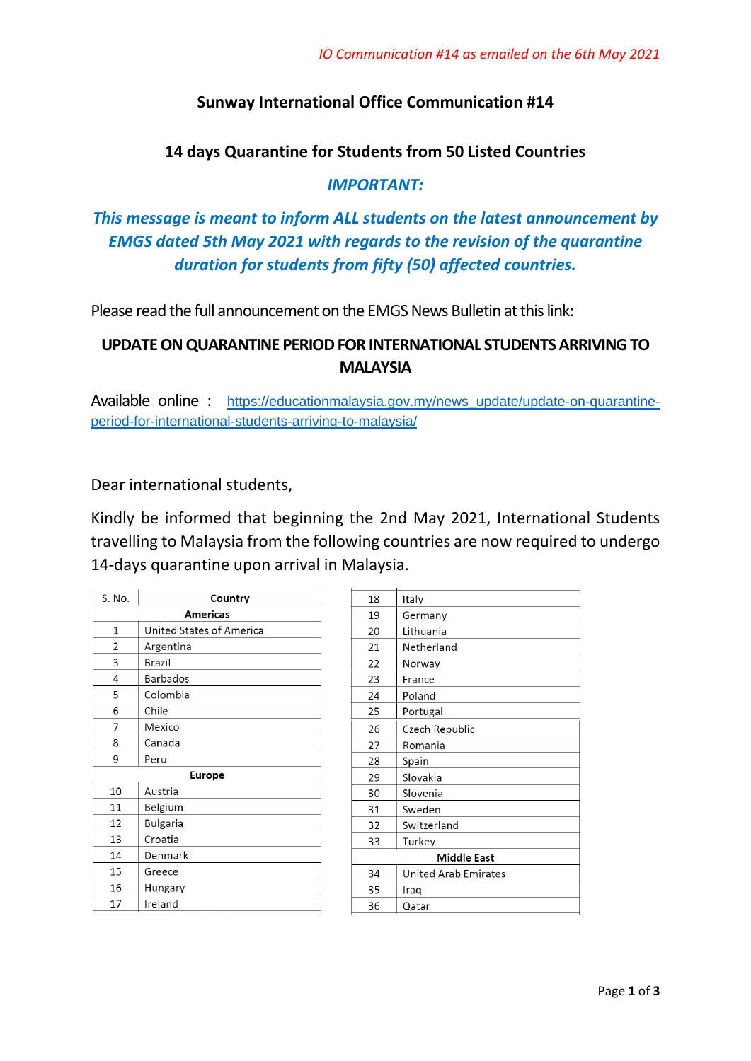## **Sunway International Office Communication #14**

### **14 days Quarantine for Students from 50 Listed Countries**

### *IMPORTANT:*

# *This message is meant to inform ALL students on the latest announcement by EMGS dated 5th May 2021 with regards to the revision of the quarantine duration for students from fifty (50) affected countries.*

Please read the full announcement on the EMGS News Bulletin at this link:

# **UPDATE ON QUARANTINE PERIOD FOR INTERNATIONAL STUDENTS ARRIVING TO MALAYSIA**

Available online : https://educationmalaysia.gov.my/news update/update-on-quarantine[period-for-international-students-arriving-to-malaysia/](https://educationmalaysia.gov.my/news_update/update-on-quarantine-period-for-international-students-arriving-to-malaysia/)

Dear international students,

Kindly be informed that beginning the 2nd May 2021, International Students travelling to Malaysia from the following countries are now required to undergo 14-days quarantine upon arrival in Malaysia.

| S. No.        | Country                  |  |
|---------------|--------------------------|--|
|               | <b>Americas</b>          |  |
| 1             | United States of America |  |
| 2             | Argentina                |  |
| 3             | <b>Brazil</b>            |  |
| 4             | <b>Barbados</b>          |  |
| 5             | Colombia                 |  |
| 6             | Chile                    |  |
| 7             | <b>Mexico</b>            |  |
| 8             | Canada                   |  |
| 9             | Peru                     |  |
| <b>Europe</b> |                          |  |
| 10            | Austria                  |  |
| 11            | <b>Belgium</b>           |  |
| 12            | <b>Bulgaria</b>          |  |
| 13            | Croatia                  |  |
| 14            | Denmark                  |  |
| 15            | Greece                   |  |
| 16            | Hungary                  |  |
| 17            | Ireland                  |  |

| 18                 | Italy                       |  |
|--------------------|-----------------------------|--|
| 19                 | Germany                     |  |
| 20                 | Lithuania                   |  |
| 21                 | Netherland                  |  |
| 22                 | Norway                      |  |
| 23                 | France                      |  |
| 24                 | Poland                      |  |
| 25                 | Portugal                    |  |
| 26                 | <b>Czech Republic</b>       |  |
| 27                 | Romania                     |  |
| 28                 | Spain                       |  |
| 29                 | Slovakia                    |  |
| 30                 | Slovenia                    |  |
| 31                 | Sweden                      |  |
| 32                 | Switzerland                 |  |
| 33                 | Turkey                      |  |
| <b>Middle East</b> |                             |  |
| 34                 | <b>United Arab Emirates</b> |  |
| 35                 | Iraq                        |  |
| 36                 | Qatar                       |  |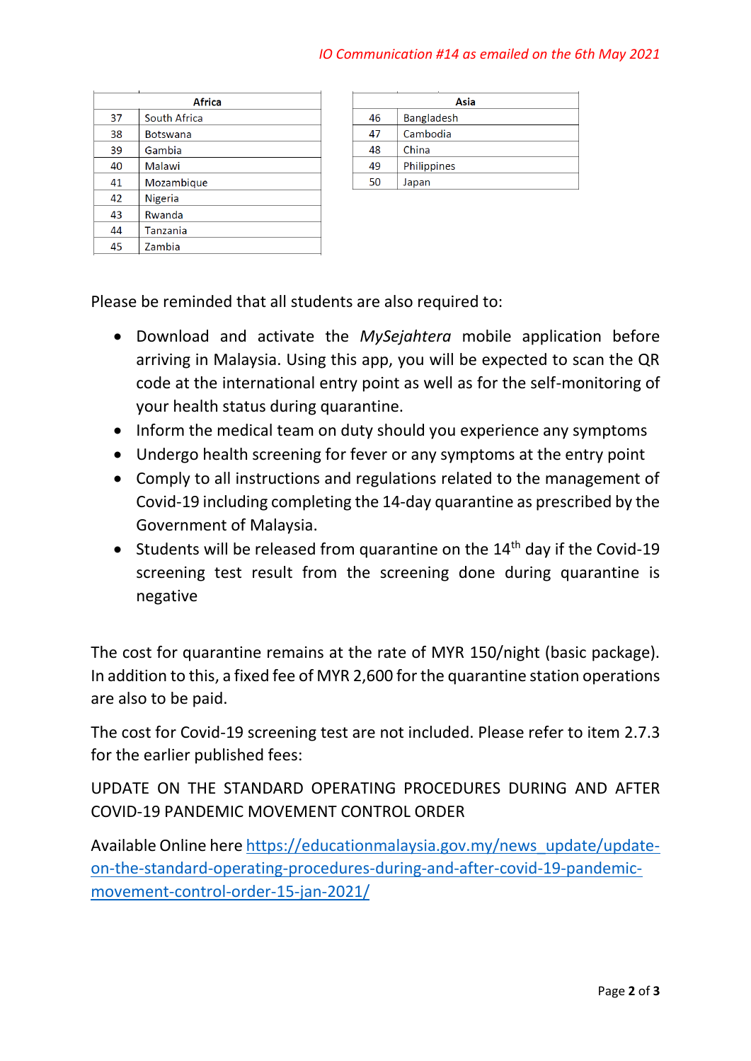#### *IO Communication #14 as emailed on the 6th May 2021*

|    | <b>Africa</b>   |
|----|-----------------|
| 37 | South Africa    |
| 38 | <b>Botswana</b> |
| 39 | Gambia          |
| 40 | Malawi          |
| 41 | Mozambique      |
| 42 | Nigeria         |
| 43 | Rwanda          |
| 44 | Tanzania        |
| 45 | Zambia          |
|    |                 |

| Asia              |
|-------------------|
| <b>Bangladesh</b> |
| Cambodia          |
| China             |
| Philippines       |
| Japan             |
|                   |

Please be reminded that all students are also required to:

- Download and activate the *MySejahtera* mobile application before arriving in Malaysia. Using this app, you will be expected to scan the QR code at the international entry point as well as for the self-monitoring of your health status during quarantine.
- Inform the medical team on duty should you experience any symptoms
- Undergo health screening for fever or any symptoms at the entry point
- Comply to all instructions and regulations related to the management of Covid-19 including completing the 14-day quarantine as prescribed by the Government of Malaysia.
- Students will be released from quarantine on the  $14<sup>th</sup>$  day if the Covid-19 screening test result from the screening done during quarantine is negative

The cost for quarantine remains at the rate of MYR 150/night (basic package). In addition to this, a fixed fee of MYR 2,600 for the quarantine station operations are also to be paid.

The cost for Covid-19 screening test are not included. Please refer to item 2.7.3 for the earlier published fees:

UPDATE ON THE STANDARD OPERATING PROCEDURES DURING AND AFTER COVID-19 PANDEMIC MOVEMENT CONTROL ORDER

Available Online here [https://educationmalaysia.gov.my/news\\_update/update](https://educationmalaysia.gov.my/news_update/update-on-the-standard-operating-procedures-during-and-after-covid-19-pandemic-movement-control-order-15-jan-2021/)[on-the-standard-operating-procedures-during-and-after-covid-19-pandemic](https://educationmalaysia.gov.my/news_update/update-on-the-standard-operating-procedures-during-and-after-covid-19-pandemic-movement-control-order-15-jan-2021/)[movement-control-order-15-jan-2021/](https://educationmalaysia.gov.my/news_update/update-on-the-standard-operating-procedures-during-and-after-covid-19-pandemic-movement-control-order-15-jan-2021/)